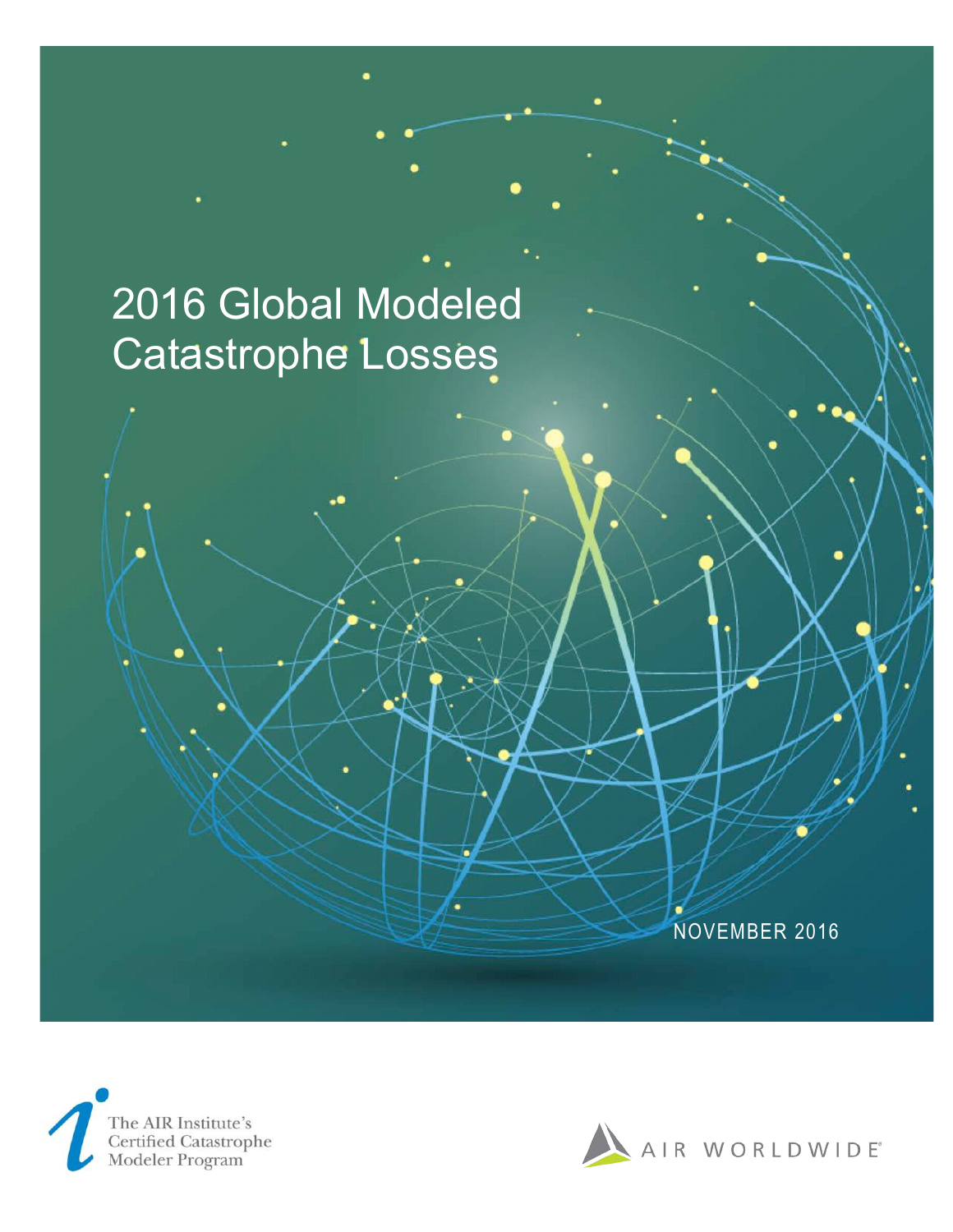# 2016 Global Modeled Catastrophe Losses





NOVEMBER 2016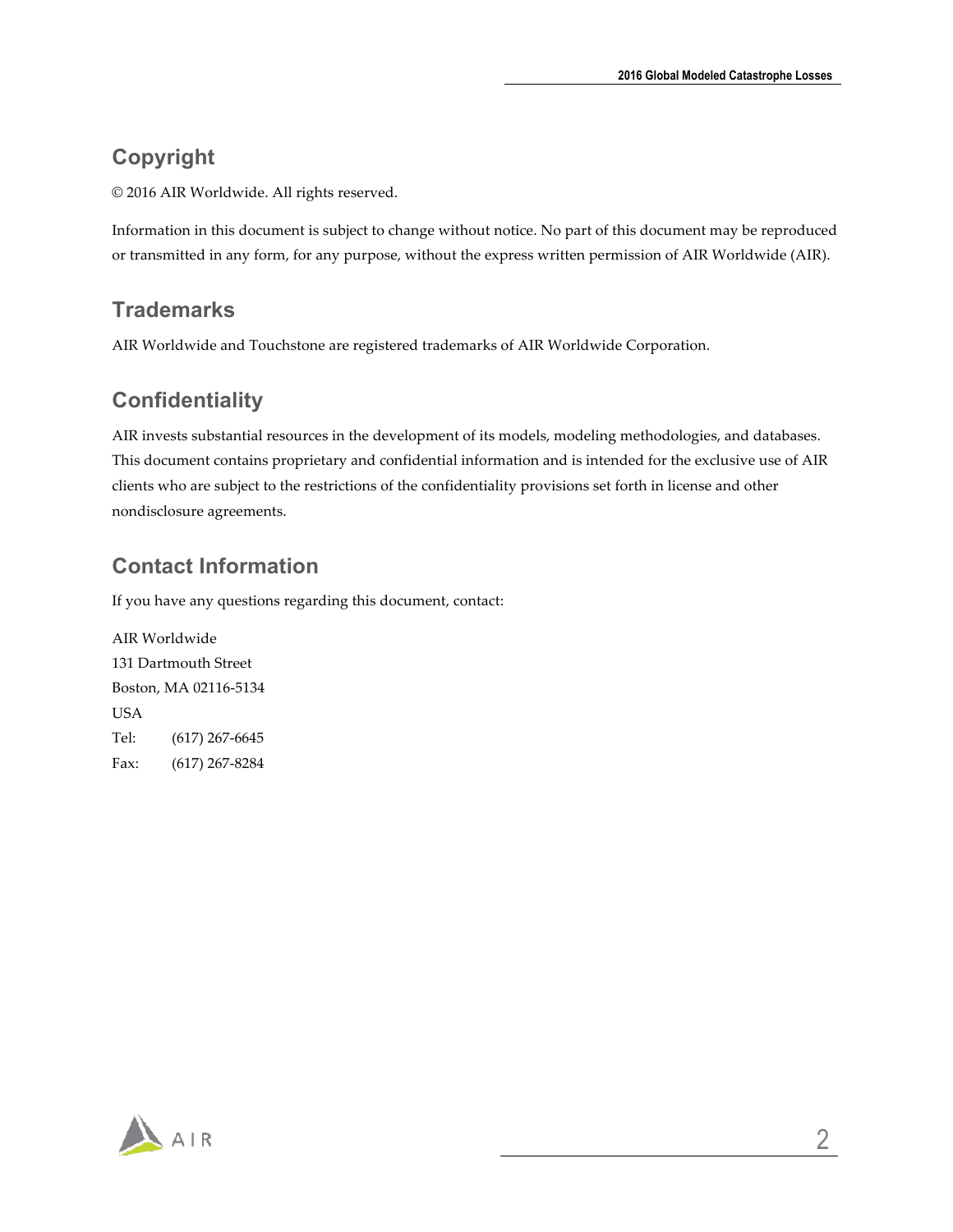# **Copyright**

© 2016 AIR Worldwide. All rights reserved.

Information in this document is subject to change without notice. No part of this document may be reproduced or transmitted in any form, for any purpose, without the express written permission of AIR Worldwide (AIR).

### **Trademarks**

AIR Worldwide and Touchstone are registered trademarks of AIR Worldwide Corporation.

### **Confidentiality**

AIR invests substantial resources in the development of its models, modeling methodologies, and databases. This document contains proprietary and confidential information and is intended for the exclusive use of AIR clients who are subject to the restrictions of the confidentiality provisions set forth in license and other nondisclosure agreements.

### **Contact Information**

If you have any questions regarding this document, contact:

AIR Worldwide 131 Dartmouth Street Boston, MA 02116-5134 USA Tel: (617) 267-6645 Fax: (617) 267-8284

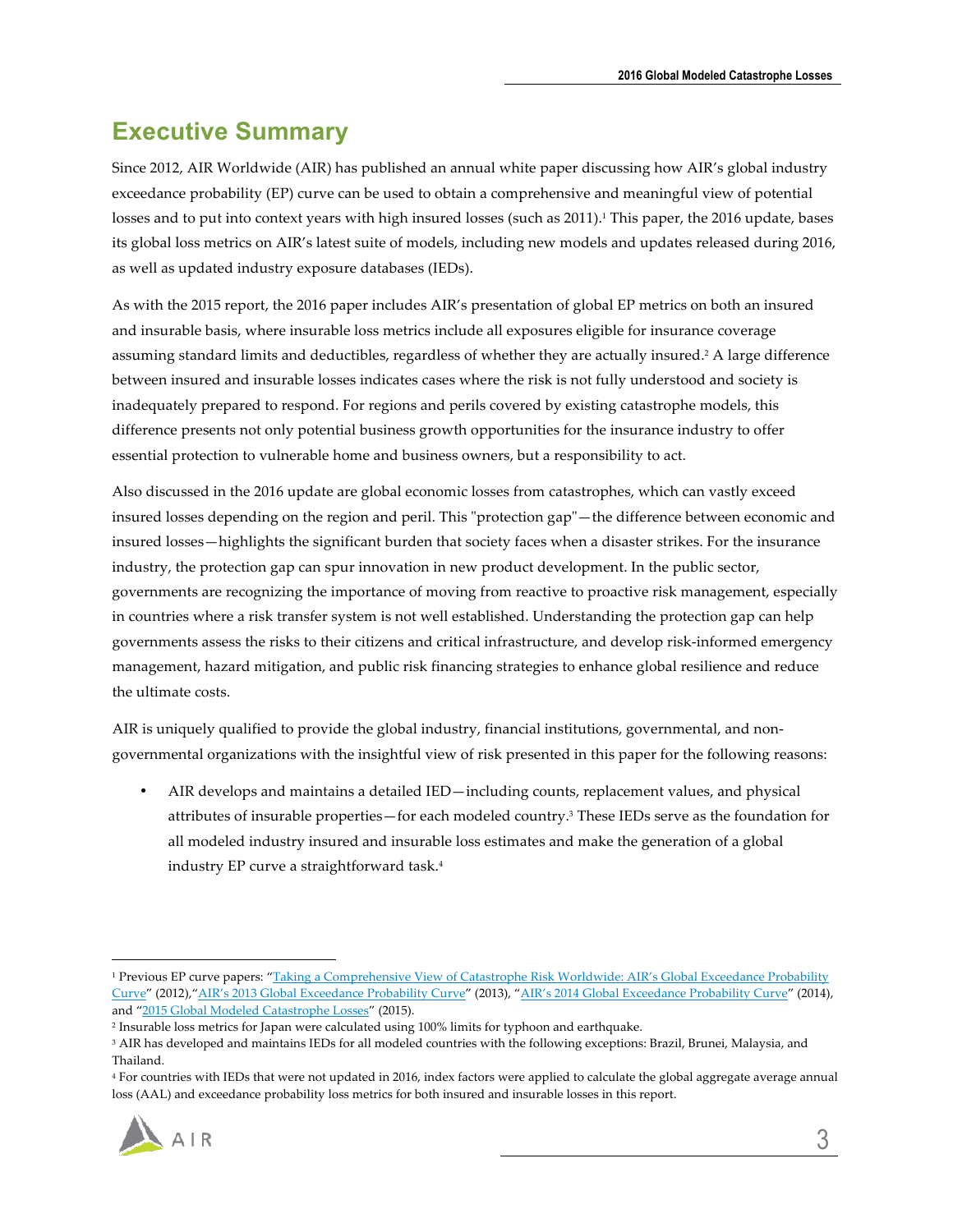# **Executive Summary**

Since 2012, AIR Worldwide (AIR) has published an annual white paper discussing how AIR's global industry exceedance probability (EP) curve can be used to obtain a comprehensive and meaningful view of potential losses and to put into context years with high insured losses (such as 2011).<sup>1</sup> This paper, the 2016 update, bases its global loss metrics on AIR's latest suite of models, including new models and updates released during 2016, as well as updated industry exposure databases (IEDs).

As with the 2015 report, the 2016 paper includes AIR's presentation of global EP metrics on both an insured and insurable basis, where insurable loss metrics include all exposures eligible for insurance coverage assuming standard limits and deductibles, regardless of whether they are actually insured. <sup>2</sup> A large difference between insured and insurable losses indicates cases where the risk is not fully understood and society is inadequately prepared to respond. For regions and perils covered by existing catastrophe models, this difference presents not only potential business growth opportunities for the insurance industry to offer essential protection to vulnerable home and business owners, but a responsibility to act.

Also discussed in the 2016 update are global economic losses from catastrophes, which can vastly exceed insured losses depending on the region and peril. This "protection gap"—the difference between economic and insured losses—highlights the significant burden that society faces when a disaster strikes. For the insurance industry, the protection gap can spur innovation in new product development. In the public sector, governments are recognizing the importance of moving from reactive to proactive risk management, especially in countries where a risk transfer system is not well established. Understanding the protection gap can help governments assess the risks to their citizens and critical infrastructure, and develop risk-informed emergency management, hazard mitigation, and public risk financing strategies to enhance global resilience and reduce the ultimate costs.

AIR is uniquely qualified to provide the global industry, financial institutions, governmental, and nongovernmental organizations with the insightful view of risk presented in this paper for the following reasons:

• AIR develops and maintains a detailed IED—including counts, replacement values, and physical attributes of insurable properties—for each modeled country.3 These IEDs serve as the foundation for all modeled industry insured and insurable loss estimates and make the generation of a global industry EP curve a straightforward task.4

<sup>4</sup> For countries with IEDs that were not updated in 2016, index factors were applied to calculate the global aggregate average annual loss (AAL) and exceedance probability loss metrics for both insured and insurable losses in this report.



-

<sup>&</sup>lt;sup>1</sup> Previous EP curve papers: "Taking a Comprehensive View of Catastrophe Risk Worldwide: AIR's Global Exceedance Probability Curve" (2012),"AIR's 2013 Global Exceedance Probability Curve" (2013), "AIR's 2014 Global Exceedance Probability Curve" (2014), and "2015 Global Modeled Catastrophe Losses" (2015).

<sup>2</sup> Insurable loss metrics for Japan were calculated using 100% limits for typhoon and earthquake.

<sup>&</sup>lt;sup>3</sup> AIR has developed and maintains IEDs for all modeled countries with the following exceptions: Brazil, Brunei, Malaysia, and Thailand.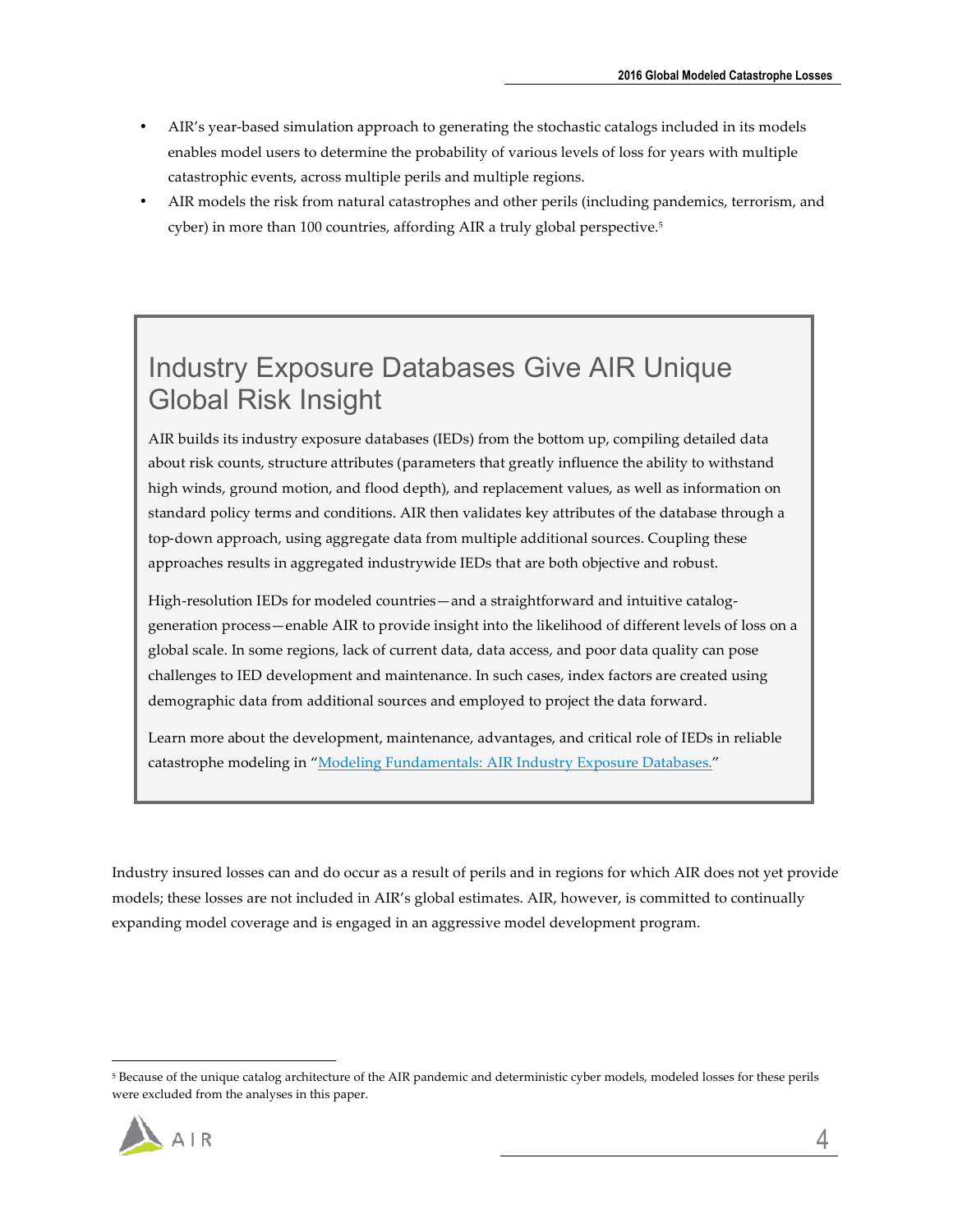- AIR's year-based simulation approach to generating the stochastic catalogs included in its models enables model users to determine the probability of various levels of loss for years with multiple catastrophic events, across multiple perils and multiple regions.
- AIR models the risk from natural catastrophes and other perils (including pandemics, terrorism, and cyber) in more than 100 countries, affording AIR a truly global perspective.5

# Industry Exposure Databases Give AIR Unique Global Risk Insight

AIR builds its industry exposure databases (IEDs) from the bottom up, compiling detailed data about risk counts, structure attributes (parameters that greatly influence the ability to withstand high winds, ground motion, and flood depth), and replacement values, as well as information on standard policy terms and conditions. AIR then validates key attributes of the database through a top-down approach, using aggregate data from multiple additional sources. Coupling these approaches results in aggregated industrywide IEDs that are both objective and robust.

High-resolution IEDs for modeled countries—and a straightforward and intuitive cataloggeneration process—enable AIR to provide insight into the likelihood of different levels of loss on a global scale. In some regions, lack of current data, data access, and poor data quality can pose challenges to IED development and maintenance. In such cases, index factors are created using demographic data from additional sources and employed to project the data forward.

Learn more about the development, maintenance, advantages, and critical role of IEDs in reliable catastrophe modeling in "Modeling Fundamentals: AIR Industry Exposure Databases."

Industry insured losses can and do occur as a result of perils and in regions for which AIR does not yet provide models; these losses are not included in AIR's global estimates. AIR, however, is committed to continually expanding model coverage and is engaged in an aggressive model development program.

<sup>5</sup> Because of the unique catalog architecture of the AIR pandemic and deterministic cyber models, modeled losses for these perils were excluded from the analyses in this paper.



 $\overline{a}$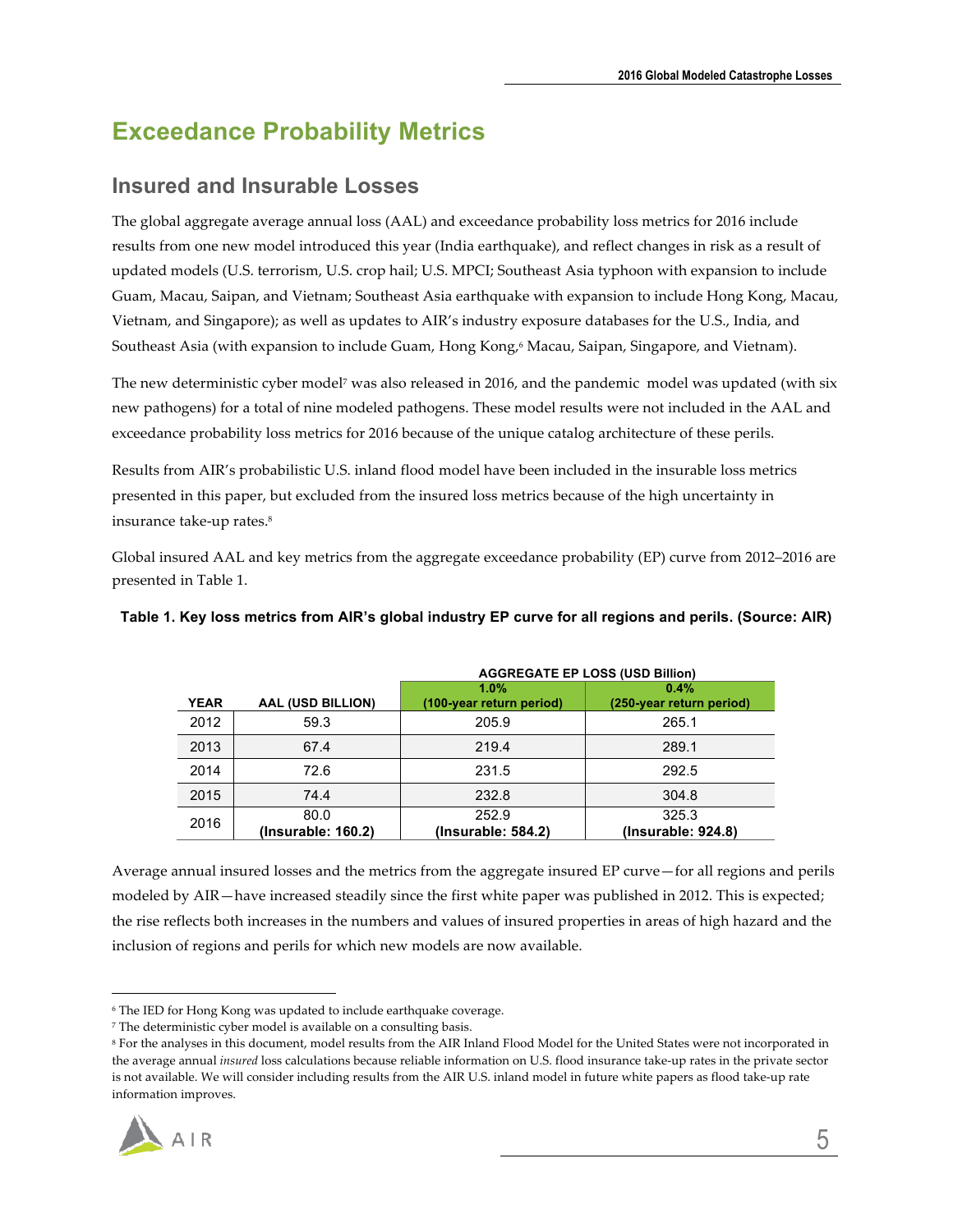# **Exceedance Probability Metrics**

### **Insured and Insurable Losses**

The global aggregate average annual loss (AAL) and exceedance probability loss metrics for 2016 include results from one new model introduced this year (India earthquake), and reflect changes in risk as a result of updated models (U.S. terrorism, U.S. crop hail; U.S. MPCI; Southeast Asia typhoon with expansion to include Guam, Macau, Saipan, and Vietnam; Southeast Asia earthquake with expansion to include Hong Kong, Macau, Vietnam, and Singapore); as well as updates to AIR's industry exposure databases for the U.S., India, and Southeast Asia (with expansion to include Guam, Hong Kong, <sup>6</sup> Macau, Saipan, Singapore, and Vietnam).

The new deterministic cyber model<sup>7</sup> was also released in 2016, and the pandemic model was updated (with six new pathogens) for a total of nine modeled pathogens. These model results were not included in the AAL and exceedance probability loss metrics for 2016 because of the unique catalog architecture of these perils.

Results from AIR's probabilistic U.S. inland flood model have been included in the insurable loss metrics presented in this paper, but excluded from the insured loss metrics because of the high uncertainty in insurance take-up rates.8

Global insured AAL and key metrics from the aggregate exceedance probability (EP) curve from 2012–2016 are presented in Table 1.

|             |                            | <b>AGGREGATE EP LOSS (USD Billion)</b> |                             |  |  |  |
|-------------|----------------------------|----------------------------------------|-----------------------------|--|--|--|
|             |                            | 1.0%                                   | $0.4\%$                     |  |  |  |
| <b>YEAR</b> | AAL (USD BILLION)          | (100-year return period)               | (250-year return period)    |  |  |  |
| 2012        | 59.3                       | 205.9                                  | 265.1                       |  |  |  |
| 2013        | 67.4                       | 219.4                                  | 289.1                       |  |  |  |
| 2014        | 72.6                       | 231.5                                  | 292.5                       |  |  |  |
| 2015        | 74.4                       | 232.8                                  | 304.8                       |  |  |  |
| 2016        | 80.0<br>(Insurable: 160.2) | 252.9<br>(Insurable: 584.2)            | 325.3<br>(Insurable: 924.8) |  |  |  |

#### **Table 1. Key loss metrics from AIR's global industry EP curve for all regions and perils. (Source: AIR)**

Average annual insured losses and the metrics from the aggregate insured EP curve—for all regions and perils modeled by AIR—have increased steadily since the first white paper was published in 2012. This is expected; the rise reflects both increases in the numbers and values of insured properties in areas of high hazard and the inclusion of regions and perils for which new models are now available.

<sup>8</sup> For the analyses in this document, model results from the AIR Inland Flood Model for the United States were not incorporated in the average annual *insured* loss calculations because reliable information on U.S. flood insurance take-up rates in the private sector is not available. We will consider including results from the AIR U.S. inland model in future white papers as flood take-up rate information improves.



 $\overline{a}$ 

<sup>6</sup> The IED for Hong Kong was updated to include earthquake coverage.

<sup>7</sup> The deterministic cyber model is available on a consulting basis.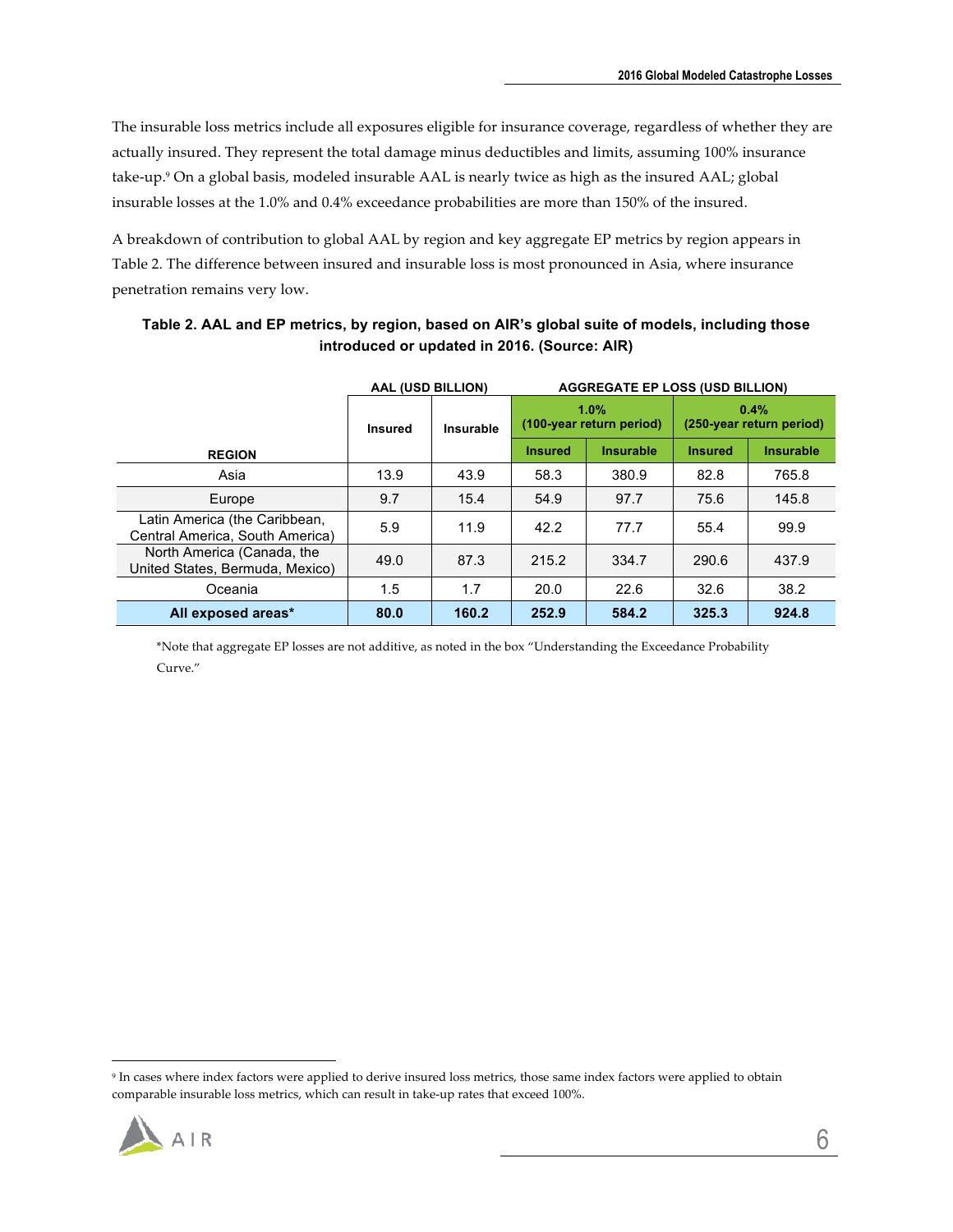The insurable loss metrics include all exposures eligible for insurance coverage, regardless of whether they are actually insured. They represent the total damage minus deductibles and limits, assuming 100% insurance take-up.9 On a global basis, modeled insurable AAL is nearly twice as high as the insured AAL; global insurable losses at the 1.0% and 0.4% exceedance probabilities are more than 150% of the insured.

A breakdown of contribution to global AAL by region and key aggregate EP metrics by region appears in Table 2. The difference between insured and insurable loss is most pronounced in Asia, where insurance penetration remains very low.

|                                                                  | AAL (USD BILLION) |           | <b>AGGREGATE EP LOSS (USD BILLION)</b> |                  |                                  |                  |
|------------------------------------------------------------------|-------------------|-----------|----------------------------------------|------------------|----------------------------------|------------------|
|                                                                  | <b>Insured</b>    | Insurable | 1.0%<br>(100-year return period)       |                  | 0.4%<br>(250-year return period) |                  |
| <b>REGION</b>                                                    |                   |           | <b>Insured</b>                         | <b>Insurable</b> | <b>Insured</b>                   | <b>Insurable</b> |
| Asia                                                             | 13.9              | 43.9      | 58.3                                   | 380.9            | 82.8                             | 765.8            |
| Europe                                                           | 9.7               | 15.4      | 54.9                                   | 97.7             | 75.6                             | 145.8            |
| Latin America (the Caribbean,<br>Central America, South America) | 5.9               | 11.9      | 42.2                                   | 77.7             | 55.4                             | 99.9             |
| North America (Canada, the<br>United States, Bermuda, Mexico)    | 49.0              | 87.3      | 215.2                                  | 334.7            | 290.6                            | 437.9            |
| Oceania                                                          | 1.5               | 1.7       | 20.0                                   | 22.6             | 32.6                             | 38.2             |
| All exposed areas*                                               | 80.0              | 160.2     | 252.9                                  | 584.2            | 325.3                            | 924.8            |

#### **Table 2. AAL and EP metrics, by region, based on AIR's global suite of models, including those introduced or updated in 2016. (Source: AIR)**

\*Note that aggregate EP losses are not additive, as noted in the box "Understanding the Exceedance Probability Curve."

 <sup>9</sup> In cases where index factors were applied to derive insured loss metrics, those same index factors were applied to obtain comparable insurable loss metrics, which can result in take-up rates that exceed 100%.

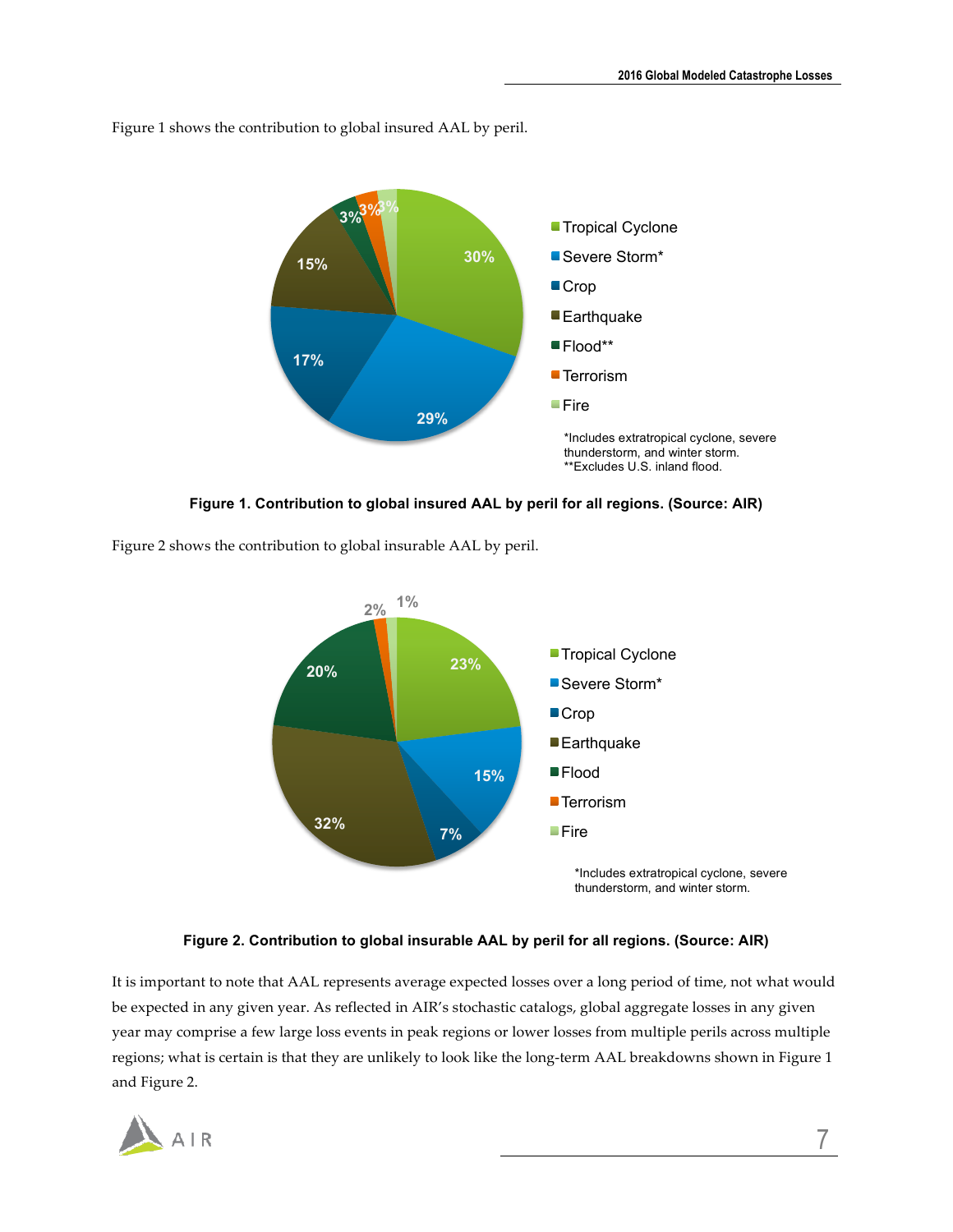

Figure 1 shows the contribution to global insured AAL by peril.



Figure 2 shows the contribution to global insurable AAL by peril.



#### **Figure 2. Contribution to global insurable AAL by peril for all regions. (Source: AIR)**

It is important to note that AAL represents average expected losses over a long period of time, not what would be expected in any given year. As reflected in AIR's stochastic catalogs, global aggregate losses in any given year may comprise a few large loss events in peak regions or lower losses from multiple perils across multiple regions; what is certain is that they are unlikely to look like the long-term AAL breakdowns shown in Figure 1 and Figure 2.

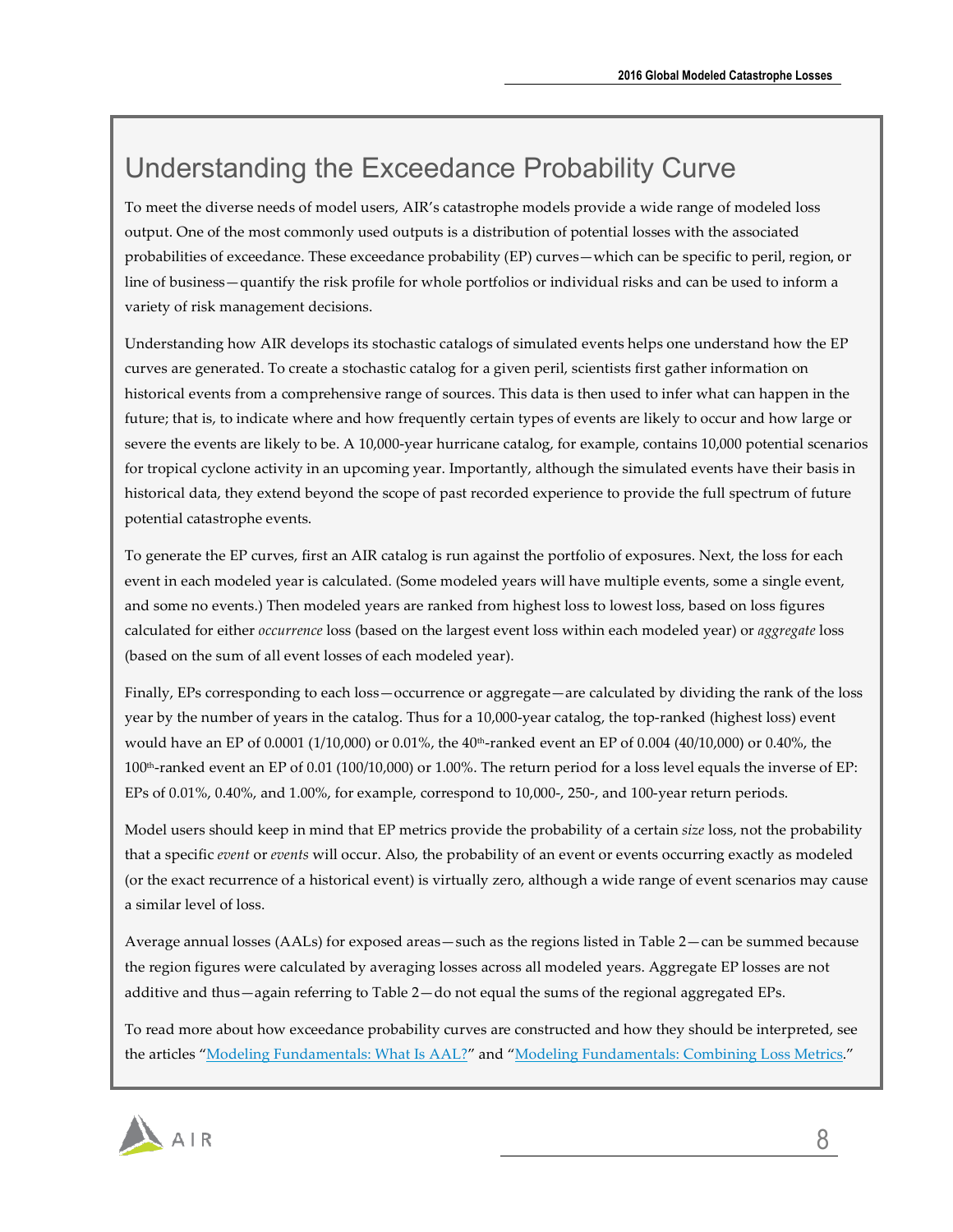# Understanding the Exceedance Probability Curve

To meet the diverse needs of model users, AIR's catastrophe models provide a wide range of modeled loss output. One of the most commonly used outputs is a distribution of potential losses with the associated probabilities of exceedance. These exceedance probability (EP) curves—which can be specific to peril, region, or line of business—quantify the risk profile for whole portfolios or individual risks and can be used to inform a variety of risk management decisions.

Understanding how AIR develops its stochastic catalogs of simulated events helps one understand how the EP curves are generated. To create a stochastic catalog for a given peril, scientists first gather information on historical events from a comprehensive range of sources. This data is then used to infer what can happen in the future; that is, to indicate where and how frequently certain types of events are likely to occur and how large or severe the events are likely to be. A 10,000-year hurricane catalog, for example, contains 10,000 potential scenarios for tropical cyclone activity in an upcoming year. Importantly, although the simulated events have their basis in historical data, they extend beyond the scope of past recorded experience to provide the full spectrum of future potential catastrophe events.

To generate the EP curves, first an AIR catalog is run against the portfolio of exposures. Next, the loss for each event in each modeled year is calculated. (Some modeled years will have multiple events, some a single event, and some no events.) Then modeled years are ranked from highest loss to lowest loss, based on loss figures calculated for either *occurrence* loss (based on the largest event loss within each modeled year) or *aggregate* loss (based on the sum of all event losses of each modeled year).

Finally, EPs corresponding to each loss—occurrence or aggregate—are calculated by dividing the rank of the loss year by the number of years in the catalog. Thus for a 10,000-year catalog, the top-ranked (highest loss) event would have an EP of 0.0001 (1/10,000) or 0.01%, the 40<sup>th</sup>-ranked event an EP of 0.004 (40/10,000) or 0.40%, the 100th-ranked event an EP of 0.01 (100/10,000) or 1.00%. The return period for a loss level equals the inverse of EP: EPs of 0.01%, 0.40%, and 1.00%, for example, correspond to 10,000-, 250-, and 100-year return periods.

Model users should keep in mind that EP metrics provide the probability of a certain *size* loss, not the probability that a specific *event* or *events* will occur. Also, the probability of an event or events occurring exactly as modeled (or the exact recurrence of a historical event) is virtually zero, although a wide range of event scenarios may cause a similar level of loss.

Average annual losses (AALs) for exposed areas—such as the regions listed in Table 2—can be summed because the region figures were calculated by averaging losses across all modeled years. Aggregate EP losses are not additive and thus—again referring to Table 2—do not equal the sums of the regional aggregated EPs.

To read more about how exceedance probability curves are constructed and how they should be interpreted, see the articles "Modeling Fundamentals: What Is AAL?" and "Modeling Fundamentals: Combining Loss Metrics."

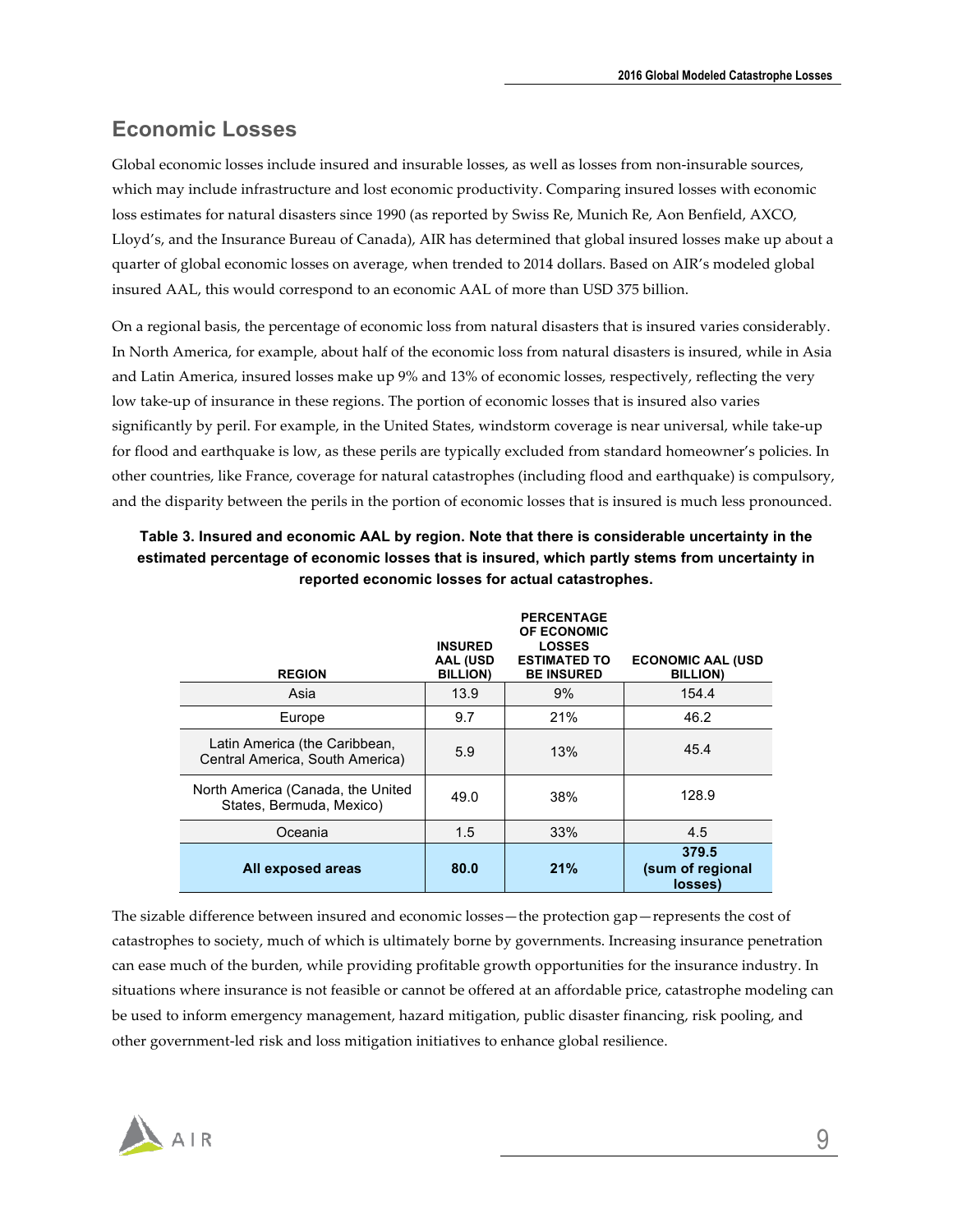### **Economic Losses**

Global economic losses include insured and insurable losses, as well as losses from non-insurable sources, which may include infrastructure and lost economic productivity. Comparing insured losses with economic loss estimates for natural disasters since 1990 (as reported by Swiss Re, Munich Re, Aon Benfield, AXCO, Lloyd's, and the Insurance Bureau of Canada), AIR has determined that global insured losses make up about a quarter of global economic losses on average, when trended to 2014 dollars. Based on AIR's modeled global insured AAL, this would correspond to an economic AAL of more than USD 375 billion.

On a regional basis, the percentage of economic loss from natural disasters that is insured varies considerably. In North America, for example, about half of the economic loss from natural disasters is insured, while in Asia and Latin America, insured losses make up 9% and 13% of economic losses, respectively, reflecting the very low take-up of insurance in these regions. The portion of economic losses that is insured also varies significantly by peril. For example, in the United States, windstorm coverage is near universal, while take-up for flood and earthquake is low, as these perils are typically excluded from standard homeowner's policies. In other countries, like France, coverage for natural catastrophes (including flood and earthquake) is compulsory, and the disparity between the perils in the portion of economic losses that is insured is much less pronounced.

| <b>REGION</b>                                                    | <b>INSURED</b><br>AAL (USD<br><b>BILLION)</b> | <b>PERCENTAGE</b><br>OF ECONOMIC<br><b>LOSSES</b><br><b>ESTIMATED TO</b><br><b>BE INSURED</b> | <b>ECONOMIC AAL (USD</b><br><b>BILLION)</b> |
|------------------------------------------------------------------|-----------------------------------------------|-----------------------------------------------------------------------------------------------|---------------------------------------------|
| Asia                                                             | 13.9                                          | 9%                                                                                            | 154.4                                       |
| Europe                                                           | 9.7                                           | 21%                                                                                           | 46.2                                        |
| Latin America (the Caribbean,<br>Central America, South America) | 5.9                                           | 13%                                                                                           | 45.4                                        |
| North America (Canada, the United<br>States, Bermuda, Mexico)    | 49.0                                          | 38%                                                                                           | 128.9                                       |
| Oceania                                                          | 1.5                                           | 33%                                                                                           | 4.5                                         |
| All exposed areas                                                | 80.0                                          | 21%                                                                                           | 379.5<br>(sum of regional<br>losses)        |

#### **Table 3. Insured and economic AAL by region. Note that there is considerable uncertainty in the estimated percentage of economic losses that is insured, which partly stems from uncertainty in reported economic losses for actual catastrophes.**

The sizable difference between insured and economic losses—the protection gap—represents the cost of catastrophes to society, much of which is ultimately borne by governments. Increasing insurance penetration can ease much of the burden, while providing profitable growth opportunities for the insurance industry. In situations where insurance is not feasible or cannot be offered at an affordable price, catastrophe modeling can be used to inform emergency management, hazard mitigation, public disaster financing, risk pooling, and other government-led risk and loss mitigation initiatives to enhance global resilience.

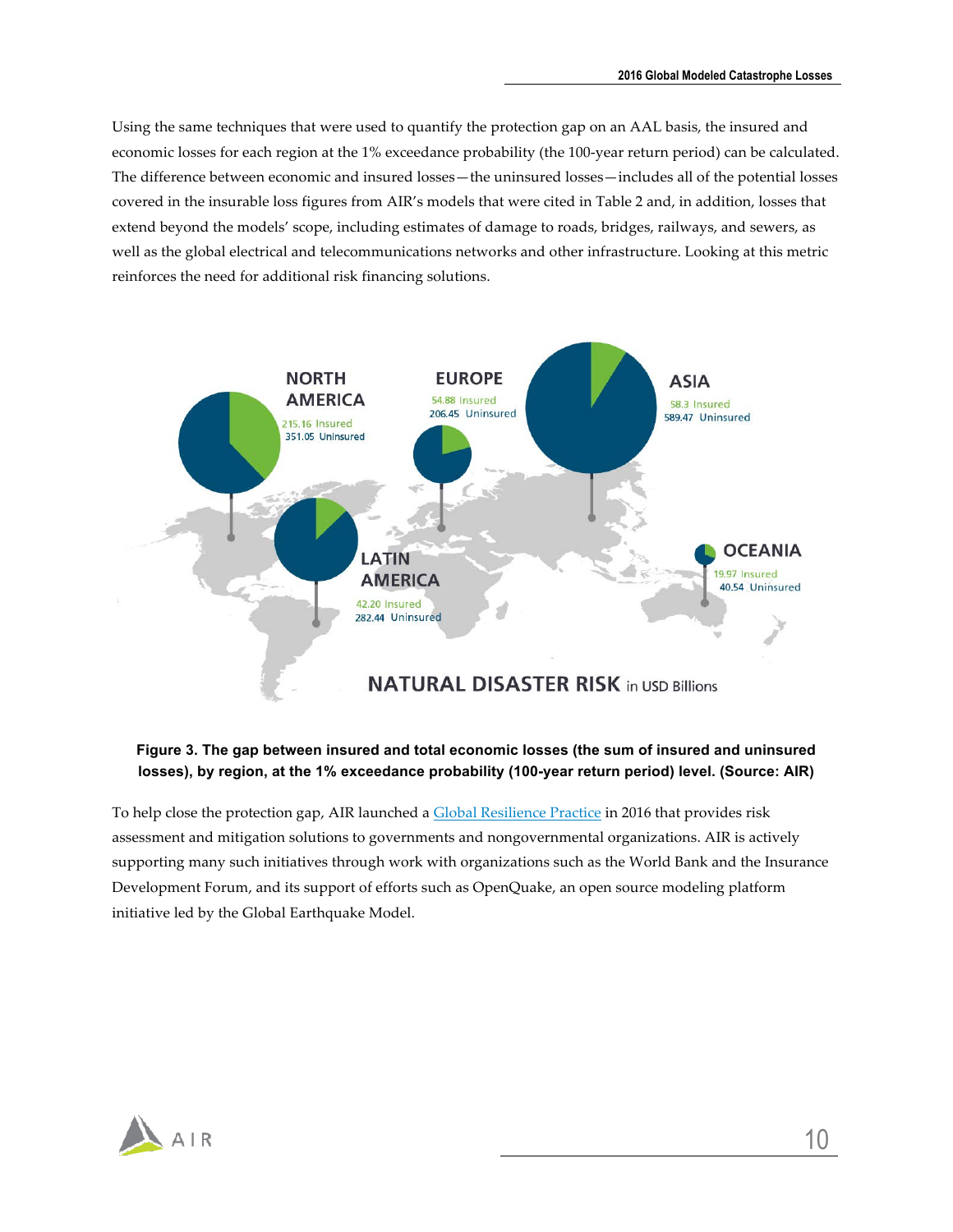Using the same techniques that were used to quantify the protection gap on an AAL basis, the insured and economic losses for each region at the 1% exceedance probability (the 100-year return period) can be calculated. The difference between economic and insured losses—the uninsured losses—includes all of the potential losses covered in the insurable loss figures from AIR's models that were cited in Table 2 and, in addition, losses that extend beyond the models' scope, including estimates of damage to roads, bridges, railways, and sewers, as well as the global electrical and telecommunications networks and other infrastructure. Looking at this metric reinforces the need for additional risk financing solutions.



#### **Figure 3. The gap between insured and total economic losses (the sum of insured and uninsured losses), by region, at the 1% exceedance probability (100-year return period) level. (Source: AIR)**

To help close the protection gap, AIR launched a Global Resilience Practice in 2016 that provides risk assessment and mitigation solutions to governments and nongovernmental organizations. AIR is actively supporting many such initiatives through work with organizations such as the World Bank and the Insurance Development Forum, and its support of efforts such as OpenQuake, an open source modeling platform initiative led by the Global Earthquake Model.

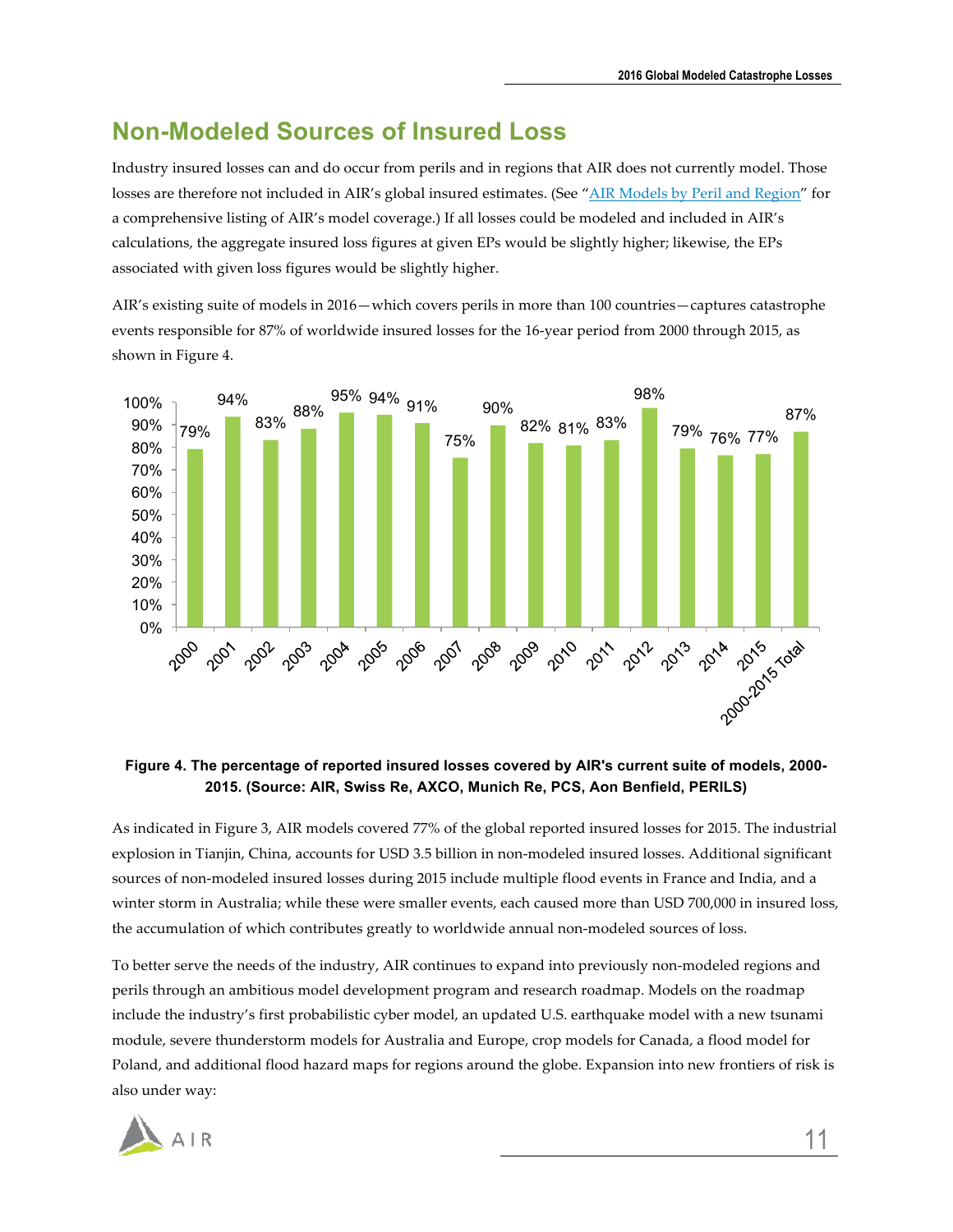# **Non-Modeled Sources of Insured Loss**

Industry insured losses can and do occur from perils and in regions that AIR does not currently model. Those losses are therefore not included in AIR's global insured estimates. (See "AIR Models by Peril and Region" for a comprehensive listing of AIR's model coverage.) If all losses could be modeled and included in AIR's calculations, the aggregate insured loss figures at given EPs would be slightly higher; likewise, the EPs associated with given loss figures would be slightly higher.

AIR's existing suite of models in 2016—which covers perils in more than 100 countries—captures catastrophe events responsible for 87% of worldwide insured losses for the 16-year period from 2000 through 2015, as shown in Figure 4.



#### **Figure 4. The percentage of reported insured losses covered by AIR's current suite of models, 2000- 2015. (Source: AIR, Swiss Re, AXCO, Munich Re, PCS, Aon Benfield, PERILS)**

As indicated in Figure 3, AIR models covered 77% of the global reported insured losses for 2015. The industrial explosion in Tianjin, China, accounts for USD 3.5 billion in non-modeled insured losses. Additional significant sources of non-modeled insured losses during 2015 include multiple flood events in France and India, and a winter storm in Australia; while these were smaller events, each caused more than USD 700,000 in insured loss, the accumulation of which contributes greatly to worldwide annual non-modeled sources of loss.

To better serve the needs of the industry, AIR continues to expand into previously non-modeled regions and perils through an ambitious model development program and research roadmap. Models on the roadmap include the industry's first probabilistic cyber model, an updated U.S. earthquake model with a new tsunami module, severe thunderstorm models for Australia and Europe, crop models for Canada, a flood model for Poland, and additional flood hazard maps for regions around the globe. Expansion into new frontiers of risk is also under way:

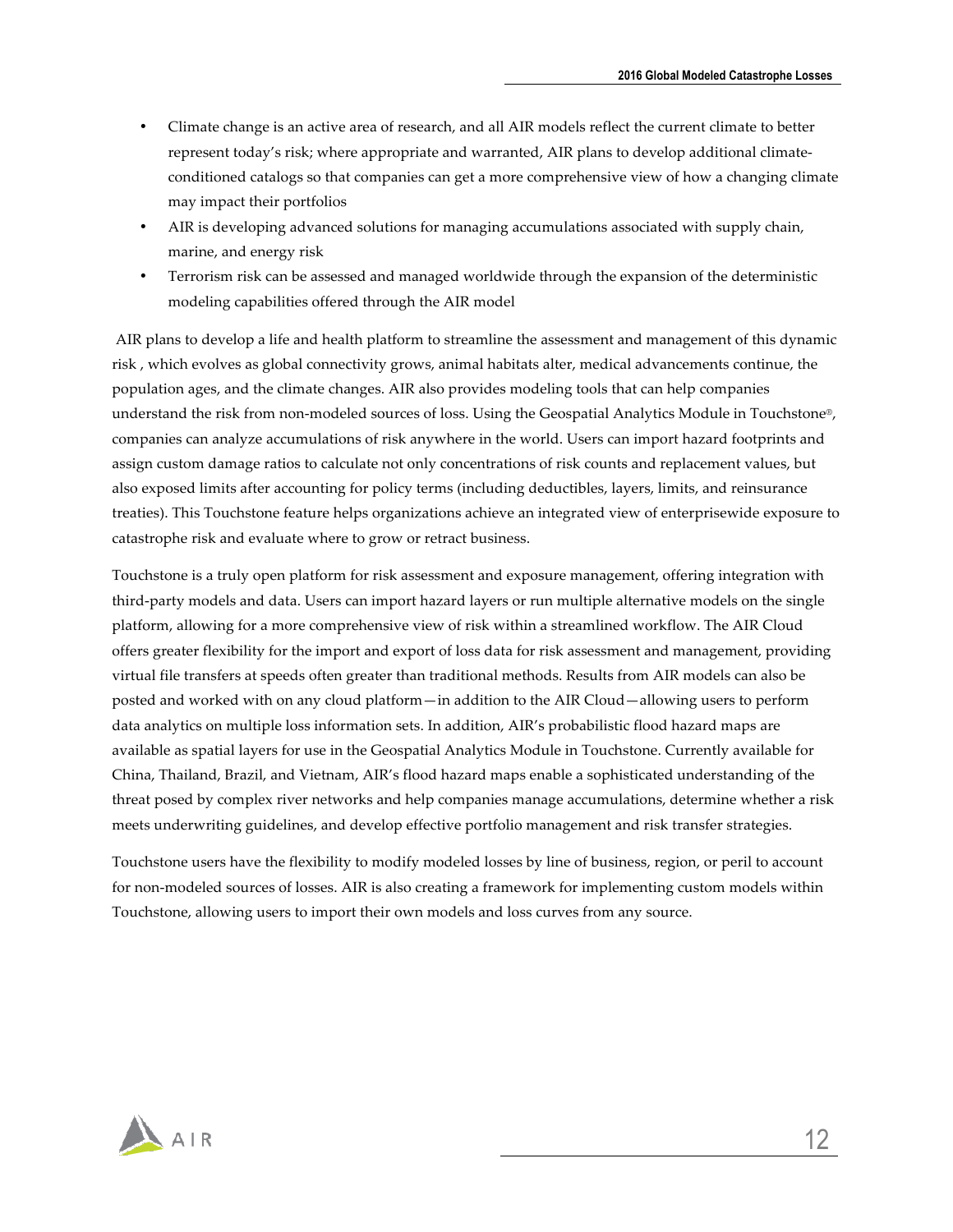- Climate change is an active area of research, and all AIR models reflect the current climate to better represent today's risk; where appropriate and warranted, AIR plans to develop additional climateconditioned catalogs so that companies can get a more comprehensive view of how a changing climate may impact their portfolios
- AIR is developing advanced solutions for managing accumulations associated with supply chain, marine, and energy risk
- Terrorism risk can be assessed and managed worldwide through the expansion of the deterministic modeling capabilities offered through the AIR model

AIR plans to develop a life and health platform to streamline the assessment and management of this dynamic risk , which evolves as global connectivity grows, animal habitats alter, medical advancements continue, the population ages, and the climate changes. AIR also provides modeling tools that can help companies understand the risk from non-modeled sources of loss. Using the Geospatial Analytics Module in Touchstone®, companies can analyze accumulations of risk anywhere in the world. Users can import hazard footprints and assign custom damage ratios to calculate not only concentrations of risk counts and replacement values, but also exposed limits after accounting for policy terms (including deductibles, layers, limits, and reinsurance treaties). This Touchstone feature helps organizations achieve an integrated view of enterprisewide exposure to catastrophe risk and evaluate where to grow or retract business.

Touchstone is a truly open platform for risk assessment and exposure management, offering integration with third-party models and data. Users can import hazard layers or run multiple alternative models on the single platform, allowing for a more comprehensive view of risk within a streamlined workflow. The AIR Cloud offers greater flexibility for the import and export of loss data for risk assessment and management, providing virtual file transfers at speeds often greater than traditional methods. Results from AIR models can also be posted and worked with on any cloud platform—in addition to the AIR Cloud—allowing users to perform data analytics on multiple loss information sets. In addition, AIR's probabilistic flood hazard maps are available as spatial layers for use in the Geospatial Analytics Module in Touchstone. Currently available for China, Thailand, Brazil, and Vietnam, AIR's flood hazard maps enable a sophisticated understanding of the threat posed by complex river networks and help companies manage accumulations, determine whether a risk meets underwriting guidelines, and develop effective portfolio management and risk transfer strategies.

Touchstone users have the flexibility to modify modeled losses by line of business, region, or peril to account for non-modeled sources of losses. AIR is also creating a framework for implementing custom models within Touchstone, allowing users to import their own models and loss curves from any source.

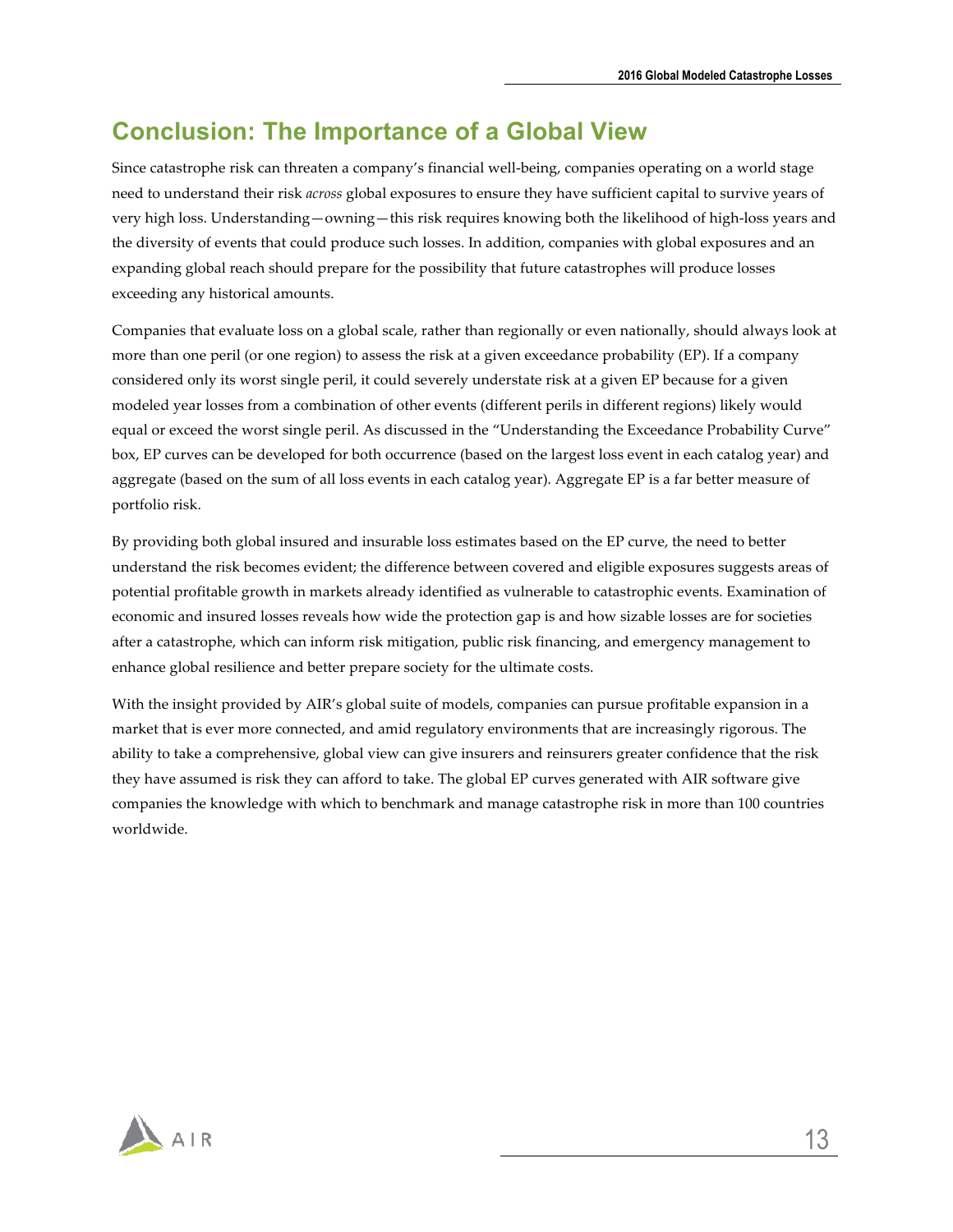# **Conclusion: The Importance of a Global View**

Since catastrophe risk can threaten a company's financial well-being, companies operating on a world stage need to understand their risk *across* global exposures to ensure they have sufficient capital to survive years of very high loss. Understanding—owning—this risk requires knowing both the likelihood of high-loss years and the diversity of events that could produce such losses. In addition, companies with global exposures and an expanding global reach should prepare for the possibility that future catastrophes will produce losses exceeding any historical amounts.

Companies that evaluate loss on a global scale, rather than regionally or even nationally, should always look at more than one peril (or one region) to assess the risk at a given exceedance probability (EP). If a company considered only its worst single peril, it could severely understate risk at a given EP because for a given modeled year losses from a combination of other events (different perils in different regions) likely would equal or exceed the worst single peril. As discussed in the "Understanding the Exceedance Probability Curve" box, EP curves can be developed for both occurrence (based on the largest loss event in each catalog year) and aggregate (based on the sum of all loss events in each catalog year). Aggregate EP is a far better measure of portfolio risk.

By providing both global insured and insurable loss estimates based on the EP curve, the need to better understand the risk becomes evident; the difference between covered and eligible exposures suggests areas of potential profitable growth in markets already identified as vulnerable to catastrophic events. Examination of economic and insured losses reveals how wide the protection gap is and how sizable losses are for societies after a catastrophe, which can inform risk mitigation, public risk financing, and emergency management to enhance global resilience and better prepare society for the ultimate costs.

With the insight provided by AIR's global suite of models, companies can pursue profitable expansion in a market that is ever more connected, and amid regulatory environments that are increasingly rigorous. The ability to take a comprehensive, global view can give insurers and reinsurers greater confidence that the risk they have assumed is risk they can afford to take. The global EP curves generated with AIR software give companies the knowledge with which to benchmark and manage catastrophe risk in more than 100 countries worldwide.